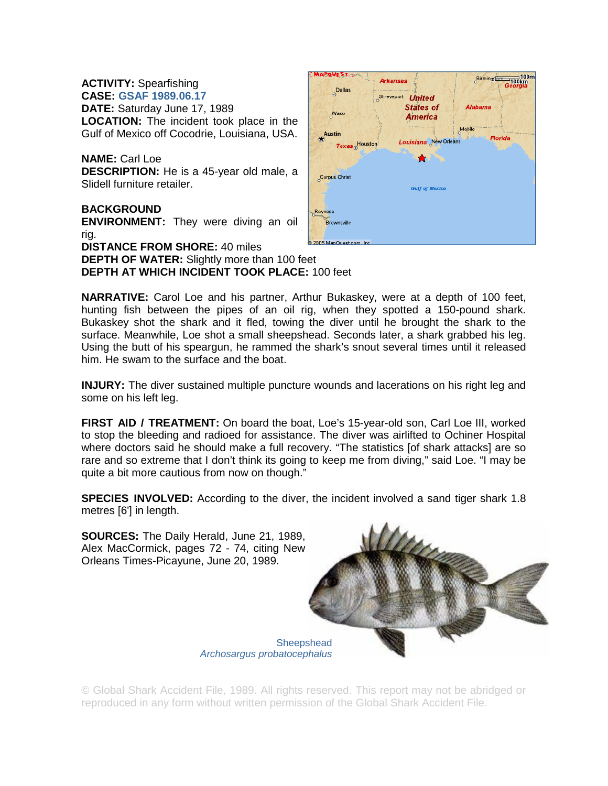**ACTIVITY:** Spearfishing **CASE: GSAF 1989.06.17 DATE:** Saturday June 17, 1989 **LOCATION:** The incident took place in the Gulf of Mexico off Cocodrie, Louisiana, USA.

**NAME:** Carl Loe **DESCRIPTION:** He is a 45-year old male, a Slidell furniture retailer.

**BACKGROUND ENVIRONMENT:** They were diving an oil rig. **DISTANCE FROM SHORE:** 40 miles

**DEPTH OF WATER:** Slightly more than 100 feet **DEPTH AT WHICH INCIDENT TOOK PLACE:** 100 feet

**NARRATIVE:** Carol Loe and his partner, Arthur Bukaskey, were at a depth of 100 feet, hunting fish between the pipes of an oil rig, when they spotted a 150-pound shark. Bukaskey shot the shark and it fled, towing the diver until he brought the shark to the surface. Meanwhile, Loe shot a small sheepshead. Seconds later, a shark grabbed his leg. Using the butt of his speargun, he rammed the shark's snout several times until it released him. He swam to the surface and the boat.

**INJURY:** The diver sustained multiple puncture wounds and lacerations on his right leg and some on his left leg.

**FIRST AID / TREATMENT:** On board the boat, Loe's 15-year-old son, Carl Loe III, worked to stop the bleeding and radioed for assistance. The diver was airlifted to Ochiner Hospital where doctors said he should make a full recovery. "The statistics [of shark attacks] are so rare and so extreme that I don't think its going to keep me from diving," said Loe. "I may be quite a bit more cautious from now on though."

**SPECIES INVOLVED:** According to the diver, the incident involved a sand tiger shark 1.8 metres [6'] in length.



© Global Shark Accident File, 1989. All rights reserved. This report may not be abridged or reproduced in any form without written permission of the Global Shark Accident File.